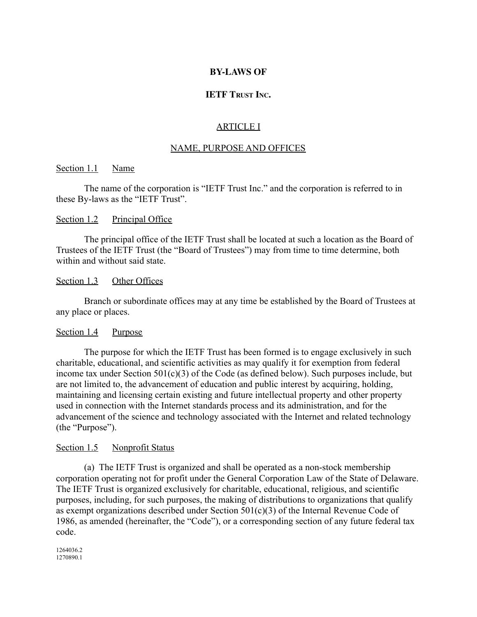### **BY-LAWS OF**

# **IETF TRUST INC.**

# ARTICLE I

#### NAME, PURPOSE AND OFFICES

#### Section 1.1 Name

The name of the corporation is "IETF Trust Inc." and the corporation is referred to in these By-laws as the "IETF Trust".

### Section 1.2 Principal Office

The principal office of the IETF Trust shall be located at such a location as the Board of Trustees of the IETF Trust (the "Board of Trustees") may from time to time determine, both within and without said state.

#### Section 1.3 Other Offices

Branch or subordinate offices may at any time be established by the Board of Trustees at any place or places.

#### Section 1.4 Purpose

The purpose for which the IETF Trust has been formed is to engage exclusively in such charitable, educational, and scientific activities as may qualify it for exemption from federal income tax under Section  $501(c)(3)$  of the Code (as defined below). Such purposes include, but are not limited to, the advancement of education and public interest by acquiring, holding, maintaining and licensing certain existing and future intellectual property and other property used in connection with the Internet standards process and its administration, and for the advancement of the science and technology associated with the Internet and related technology (the "Purpose").

#### Section 1.5 Nonprofit Status

(a) The IETF Trust is organized and shall be operated as a non-stock membership corporation operating not for profit under the General Corporation Law of the State of Delaware. The IETF Trust is organized exclusively for charitable, educational, religious, and scientific purposes, including, for such purposes, the making of distributions to organizations that qualify as exempt organizations described under Section 501(c)(3) of the Internal Revenue Code of 1986, as amended (hereinafter, the "Code"), or a corresponding section of any future federal tax code.

1264036.2 1270890.1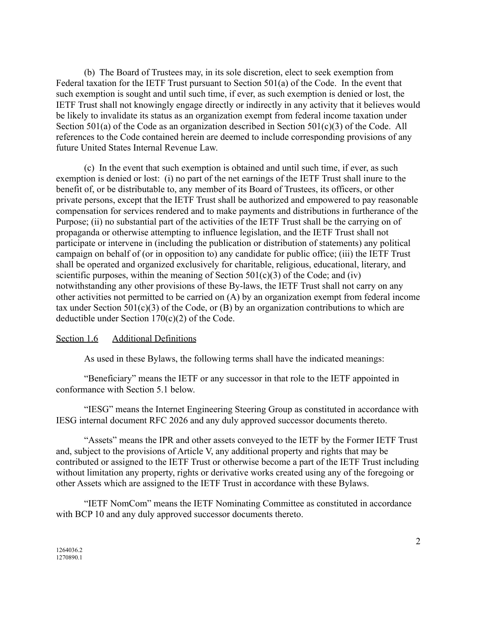(b) The Board of Trustees may, in its sole discretion, elect to seek exemption from Federal taxation for the IETF Trust pursuant to Section 501(a) of the Code. In the event that such exemption is sought and until such time, if ever, as such exemption is denied or lost, the IETF Trust shall not knowingly engage directly or indirectly in any activity that it believes would be likely to invalidate its status as an organization exempt from federal income taxation under Section 501(a) of the Code as an organization described in Section 501(c)(3) of the Code. All references to the Code contained herein are deemed to include corresponding provisions of any future United States Internal Revenue Law.

(c) In the event that such exemption is obtained and until such time, if ever, as such exemption is denied or lost: (i) no part of the net earnings of the IETF Trust shall inure to the benefit of, or be distributable to, any member of its Board of Trustees, its officers, or other private persons, except that the IETF Trust shall be authorized and empowered to pay reasonable compensation for services rendered and to make payments and distributions in furtherance of the Purpose; (ii) no substantial part of the activities of the IETF Trust shall be the carrying on of propaganda or otherwise attempting to influence legislation, and the IETF Trust shall not participate or intervene in (including the publication or distribution of statements) any political campaign on behalf of (or in opposition to) any candidate for public office; (iii) the IETF Trust shall be operated and organized exclusively for charitable, religious, educational, literary, and scientific purposes, within the meaning of Section  $501(c)(3)$  of the Code; and (iv) notwithstanding any other provisions of these By-laws, the IETF Trust shall not carry on any other activities not permitted to be carried on (A) by an organization exempt from federal income tax under Section  $501(c)(3)$  of the Code, or (B) by an organization contributions to which are deductible under Section 170(c)(2) of the Code.

# Section 1.6 Additional Definitions

As used in these Bylaws, the following terms shall have the indicated meanings:

"Beneficiary" means the IETF or any successor in that role to the IETF appointed in conformance with Section 5.1 below.

"IESG" means the Internet Engineering Steering Group as constituted in accordance with IESG internal document RFC 2026 and any duly approved successor documents thereto.

"Assets" means the IPR and other assets conveyed to the IETF by the Former IETF Trust and, subject to the provisions of Article V, any additional property and rights that may be contributed or assigned to the IETF Trust or otherwise become a part of the IETF Trust including without limitation any property, rights or derivative works created using any of the foregoing or other Assets which are assigned to the IETF Trust in accordance with these Bylaws.

"IETF NomCom" means the IETF Nominating Committee as constituted in accordance with BCP 10 and any duly approved successor documents thereto.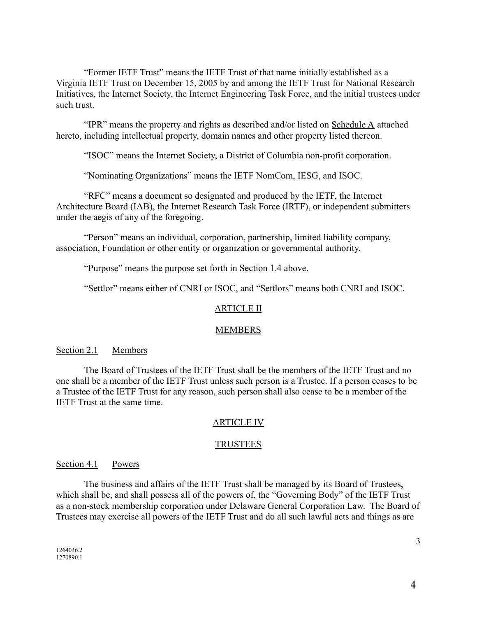"Former IETF Trust" means the IETF Trust of that name initially established as a Virginia IETF Trust on December 15, 2005 by and among the IETF Trust for National Research Initiatives, the Internet Society, the Internet Engineering Task Force, and the initial trustees under such trust.

"IPR" means the property and rights as described and/or listed on Schedule A attached hereto, including intellectual property, domain names and other property listed thereon.

"ISOC" means the Internet Society, a District of Columbia non-profit corporation.

"Nominating Organizations" means the IETF NomCom, IESG, and ISOC.

"RFC" means a document so designated and produced by the IETF, the Internet Architecture Board (IAB), the Internet Research Task Force (IRTF), or independent submitters under the aegis of any of the foregoing.

"Person" means an individual, corporation, partnership, limited liability company, association, Foundation or other entity or organization or governmental authority.

"Purpose" means the purpose set forth in Section 1.4 above.

"Settlor" means either of CNRI or ISOC, and "Settlors" means both CNRI and ISOC.

# ARTICLE II

#### MEMBERS

#### Section 2.1 Members

The Board of Trustees of the IETF Trust shall be the members of the IETF Trust and no one shall be a member of the IETF Trust unless such person is a Trustee. If a person ceases to be a Trustee of the IETF Trust for any reason, such person shall also cease to be a member of the IETF Trust at the same time.

#### ARTICLE IV

#### TRUSTEES

### Section 4.1 Powers

The business and affairs of the IETF Trust shall be managed by its Board of Trustees, which shall be, and shall possess all of the powers of, the "Governing Body" of the IETF Trust as a non-stock membership corporation under Delaware General Corporation Law. The Board of Trustees may exercise all powers of the IETF Trust and do all such lawful acts and things as are

3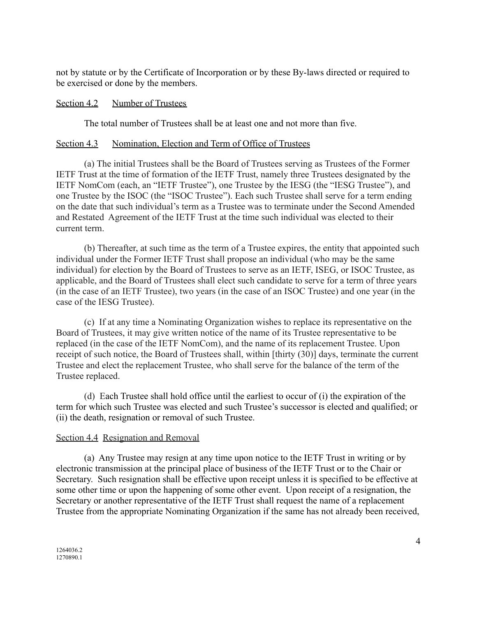not by statute or by the Certificate of Incorporation or by these By-laws directed or required to be exercised or done by the members.

### Section 4.2 Number of Trustees

The total number of Trustees shall be at least one and not more than five.

### Section 4.3 Nomination, Election and Term of Office of Trustees

(a) The initial Trustees shall be the Board of Trustees serving as Trustees of the Former IETF Trust at the time of formation of the IETF Trust, namely three Trustees designated by the IETF NomCom (each, an "IETF Trustee"), one Trustee by the IESG (the "IESG Trustee"), and one Trustee by the ISOC (the "ISOC Trustee"). Each such Trustee shall serve for a term ending on the date that such individual's term as a Trustee was to terminate under the Second Amended and Restated Agreement of the IETF Trust at the time such individual was elected to their current term.

(b) Thereafter, at such time as the term of a Trustee expires, the entity that appointed such individual under the Former IETF Trust shall propose an individual (who may be the same individual) for election by the Board of Trustees to serve as an IETF, ISEG, or ISOC Trustee, as applicable, and the Board of Trustees shall elect such candidate to serve for a term of three years (in the case of an IETF Trustee), two years (in the case of an ISOC Trustee) and one year (in the case of the IESG Trustee).

(c) If at any time a Nominating Organization wishes to replace its representative on the Board of Trustees, it may give written notice of the name of its Trustee representative to be replaced (in the case of the IETF NomCom), and the name of its replacement Trustee. Upon receipt of such notice, the Board of Trustees shall, within [thirty (30)] days, terminate the current Trustee and elect the replacement Trustee, who shall serve for the balance of the term of the Trustee replaced.

(d) Each Trustee shall hold office until the earliest to occur of (i) the expiration of the term for which such Trustee was elected and such Trustee's successor is elected and qualified; or (ii) the death, resignation or removal of such Trustee.

# Section 4.4 Resignation and Removal

(a) Any Trustee may resign at any time upon notice to the IETF Trust in writing or by electronic transmission at the principal place of business of the IETF Trust or to the Chair or Secretary. Such resignation shall be effective upon receipt unless it is specified to be effective at some other time or upon the happening of some other event. Upon receipt of a resignation, the Secretary or another representative of the IETF Trust shall request the name of a replacement Trustee from the appropriate Nominating Organization if the same has not already been received,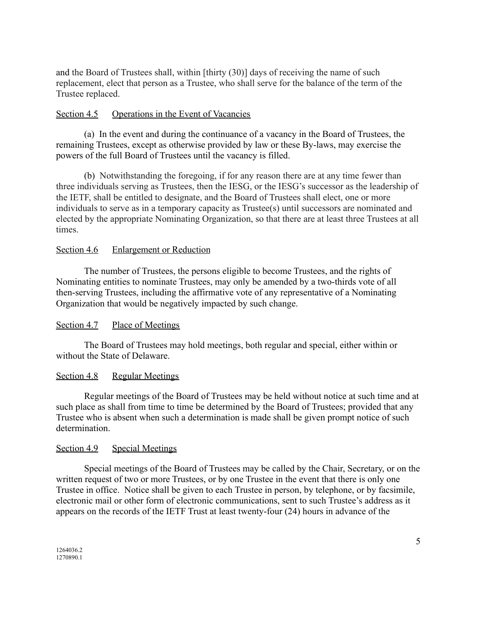and the Board of Trustees shall, within [thirty (30)] days of receiving the name of such replacement, elect that person as a Trustee, who shall serve for the balance of the term of the Trustee replaced.

# Section 4.5 Operations in the Event of Vacancies

(a) In the event and during the continuance of a vacancy in the Board of Trustees, the remaining Trustees, except as otherwise provided by law or these By-laws, may exercise the powers of the full Board of Trustees until the vacancy is filled.

(b) Notwithstanding the foregoing, if for any reason there are at any time fewer than three individuals serving as Trustees, then the IESG, or the IESG's successor as the leadership of the IETF, shall be entitled to designate, and the Board of Trustees shall elect, one or more individuals to serve as in a temporary capacity as Trustee(s) until successors are nominated and elected by the appropriate Nominating Organization, so that there are at least three Trustees at all times.

# Section 4.6 Enlargement or Reduction

The number of Trustees, the persons eligible to become Trustees, and the rights of Nominating entities to nominate Trustees, may only be amended by a two-thirds vote of all then-serving Trustees, including the affirmative vote of any representative of a Nominating Organization that would be negatively impacted by such change.

# Section 4.7 Place of Meetings

The Board of Trustees may hold meetings, both regular and special, either within or without the State of Delaware.

#### Section 4.8 Regular Meetings

Regular meetings of the Board of Trustees may be held without notice at such time and at such place as shall from time to time be determined by the Board of Trustees; provided that any Trustee who is absent when such a determination is made shall be given prompt notice of such determination.

#### Section 4.9 Special Meetings

Special meetings of the Board of Trustees may be called by the Chair, Secretary, or on the written request of two or more Trustees, or by one Trustee in the event that there is only one Trustee in office. Notice shall be given to each Trustee in person, by telephone, or by facsimile, electronic mail or other form of electronic communications, sent to such Trustee's address as it appears on the records of the IETF Trust at least twenty-four (24) hours in advance of the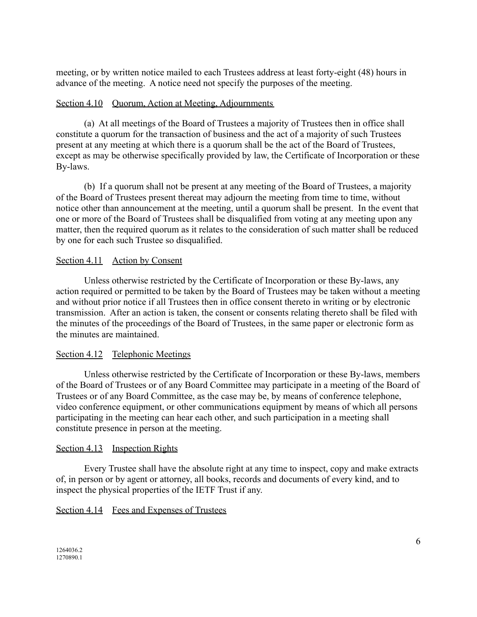meeting, or by written notice mailed to each Trustees address at least forty-eight (48) hours in advance of the meeting. A notice need not specify the purposes of the meeting.

# Section 4.10 Quorum, Action at Meeting, Adjournments

(a) At all meetings of the Board of Trustees a majority of Trustees then in office shall constitute a quorum for the transaction of business and the act of a majority of such Trustees present at any meeting at which there is a quorum shall be the act of the Board of Trustees, except as may be otherwise specifically provided by law, the Certificate of Incorporation or these By-laws.

(b) If a quorum shall not be present at any meeting of the Board of Trustees, a majority of the Board of Trustees present thereat may adjourn the meeting from time to time, without notice other than announcement at the meeting, until a quorum shall be present. In the event that one or more of the Board of Trustees shall be disqualified from voting at any meeting upon any matter, then the required quorum as it relates to the consideration of such matter shall be reduced by one for each such Trustee so disqualified.

# Section 4.11 Action by Consent

Unless otherwise restricted by the Certificate of Incorporation or these By-laws, any action required or permitted to be taken by the Board of Trustees may be taken without a meeting and without prior notice if all Trustees then in office consent thereto in writing or by electronic transmission. After an action is taken, the consent or consents relating thereto shall be filed with the minutes of the proceedings of the Board of Trustees, in the same paper or electronic form as the minutes are maintained.

# Section 4.12 Telephonic Meetings

Unless otherwise restricted by the Certificate of Incorporation or these By-laws, members of the Board of Trustees or of any Board Committee may participate in a meeting of the Board of Trustees or of any Board Committee, as the case may be, by means of conference telephone, video conference equipment, or other communications equipment by means of which all persons participating in the meeting can hear each other, and such participation in a meeting shall constitute presence in person at the meeting.

# Section 4.13 Inspection Rights

Every Trustee shall have the absolute right at any time to inspect, copy and make extracts of, in person or by agent or attorney, all books, records and documents of every kind, and to inspect the physical properties of the IETF Trust if any.

# Section 4.14 Fees and Expenses of Trustees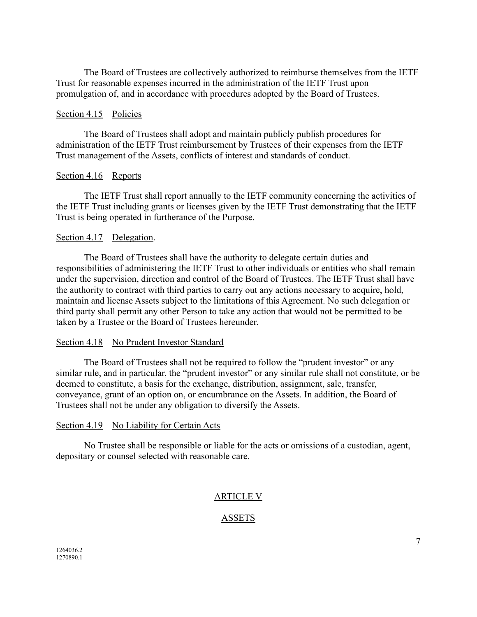The Board of Trustees are collectively authorized to reimburse themselves from the IETF Trust for reasonable expenses incurred in the administration of the IETF Trust upon promulgation of, and in accordance with procedures adopted by the Board of Trustees.

### Section 4.15 Policies

The Board of Trustees shall adopt and maintain publicly publish procedures for administration of the IETF Trust reimbursement by Trustees of their expenses from the IETF Trust management of the Assets, conflicts of interest and standards of conduct.

#### Section 4.16 Reports

The IETF Trust shall report annually to the IETF community concerning the activities of the IETF Trust including grants or licenses given by the IETF Trust demonstrating that the IETF Trust is being operated in furtherance of the Purpose.

### Section 4.17 Delegation.

The Board of Trustees shall have the authority to delegate certain duties and responsibilities of administering the IETF Trust to other individuals or entities who shall remain under the supervision, direction and control of the Board of Trustees. The IETF Trust shall have the authority to contract with third parties to carry out any actions necessary to acquire, hold, maintain and license Assets subject to the limitations of this Agreement. No such delegation or third party shall permit any other Person to take any action that would not be permitted to be taken by a Trustee or the Board of Trustees hereunder.

#### Section 4.18 No Prudent Investor Standard

The Board of Trustees shall not be required to follow the "prudent investor" or any similar rule, and in particular, the "prudent investor" or any similar rule shall not constitute, or be deemed to constitute, a basis for the exchange, distribution, assignment, sale, transfer, conveyance, grant of an option on, or encumbrance on the Assets. In addition, the Board of Trustees shall not be under any obligation to diversify the Assets.

#### Section 4.19 No Liability for Certain Acts

No Trustee shall be responsible or liable for the acts or omissions of a custodian, agent, depositary or counsel selected with reasonable care.

# ARTICLE V

# ASSETS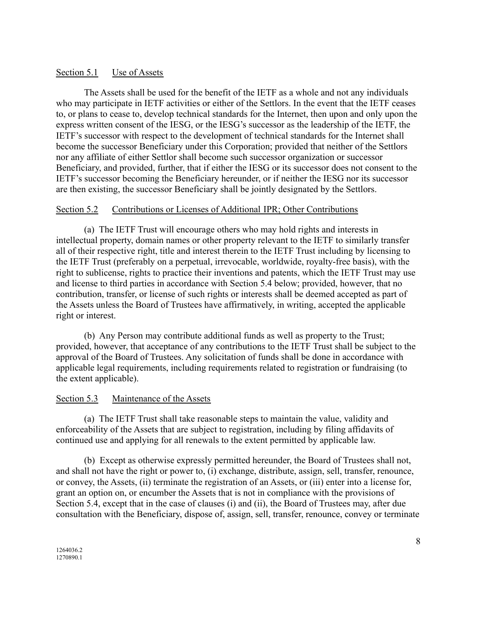# Section 5.1 Use of Assets

The Assets shall be used for the benefit of the IETF as a whole and not any individuals who may participate in IETF activities or either of the Settlors. In the event that the IETF ceases to, or plans to cease to, develop technical standards for the Internet, then upon and only upon the express written consent of the IESG, or the IESG's successor as the leadership of the IETF, the IETF's successor with respect to the development of technical standards for the Internet shall become the successor Beneficiary under this Corporation; provided that neither of the Settlors nor any affiliate of either Settlor shall become such successor organization or successor Beneficiary, and provided, further, that if either the IESG or its successor does not consent to the IETF's successor becoming the Beneficiary hereunder, or if neither the IESG nor its successor are then existing, the successor Beneficiary shall be jointly designated by the Settlors.

# Section 5.2 Contributions or Licenses of Additional IPR; Other Contributions

(a) The IETF Trust will encourage others who may hold rights and interests in intellectual property, domain names or other property relevant to the IETF to similarly transfer all of their respective right, title and interest therein to the IETF Trust including by licensing to the IETF Trust (preferably on a perpetual, irrevocable, worldwide, royalty-free basis), with the right to sublicense, rights to practice their inventions and patents, which the IETF Trust may use and license to third parties in accordance with Section 5.4 below; provided, however, that no contribution, transfer, or license of such rights or interests shall be deemed accepted as part of the Assets unless the Board of Trustees have affirmatively, in writing, accepted the applicable right or interest.

(b) Any Person may contribute additional funds as well as property to the Trust; provided, however, that acceptance of any contributions to the IETF Trust shall be subject to the approval of the Board of Trustees. Any solicitation of funds shall be done in accordance with applicable legal requirements, including requirements related to registration or fundraising (to the extent applicable).

# Section 5.3 Maintenance of the Assets

(a) The IETF Trust shall take reasonable steps to maintain the value, validity and enforceability of the Assets that are subject to registration, including by filing affidavits of continued use and applying for all renewals to the extent permitted by applicable law.

(b) Except as otherwise expressly permitted hereunder, the Board of Trustees shall not, and shall not have the right or power to, (i) exchange, distribute, assign, sell, transfer, renounce, or convey, the Assets, (ii) terminate the registration of an Assets, or (iii) enter into a license for, grant an option on, or encumber the Assets that is not in compliance with the provisions of Section 5.4, except that in the case of clauses (i) and (ii), the Board of Trustees may, after due consultation with the Beneficiary, dispose of, assign, sell, transfer, renounce, convey or terminate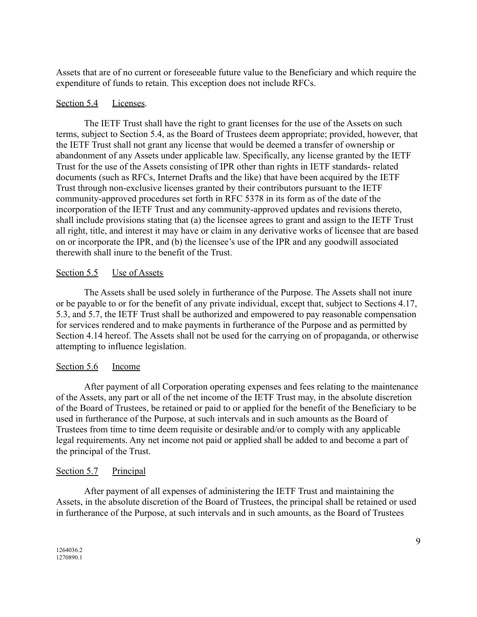Assets that are of no current or foreseeable future value to the Beneficiary and which require the expenditure of funds to retain. This exception does not include RFCs.

### Section 5.4 Licenses.

The IETF Trust shall have the right to grant licenses for the use of the Assets on such terms, subject to Section 5.4, as the Board of Trustees deem appropriate; provided, however, that the IETF Trust shall not grant any license that would be deemed a transfer of ownership or abandonment of any Assets under applicable law. Specifically, any license granted by the IETF Trust for the use of the Assets consisting of IPR other than rights in IETF standards- related documents (such as RFCs, Internet Drafts and the like) that have been acquired by the IETF Trust through non-exclusive licenses granted by their contributors pursuant to the IETF community-approved procedures set forth in RFC 5378 in its form as of the date of the incorporation of the IETF Trust and any community-approved updates and revisions thereto, shall include provisions stating that (a) the licensee agrees to grant and assign to the IETF Trust all right, title, and interest it may have or claim in any derivative works of licensee that are based on or incorporate the IPR, and (b) the licensee's use of the IPR and any goodwill associated therewith shall inure to the benefit of the Trust.

### Section 5.5 Use of Assets

The Assets shall be used solely in furtherance of the Purpose. The Assets shall not inure or be payable to or for the benefit of any private individual, except that, subject to Sections 4.17, 5.3, and 5.7, the IETF Trust shall be authorized and empowered to pay reasonable compensation for services rendered and to make payments in furtherance of the Purpose and as permitted by Section 4.14 hereof. The Assets shall not be used for the carrying on of propaganda, or otherwise attempting to influence legislation.

#### Section 5.6 Income

After payment of all Corporation operating expenses and fees relating to the maintenance of the Assets, any part or all of the net income of the IETF Trust may, in the absolute discretion of the Board of Trustees, be retained or paid to or applied for the benefit of the Beneficiary to be used in furtherance of the Purpose, at such intervals and in such amounts as the Board of Trustees from time to time deem requisite or desirable and/or to comply with any applicable legal requirements. Any net income not paid or applied shall be added to and become a part of the principal of the Trust.

# Section 5.7 Principal

After payment of all expenses of administering the IETF Trust and maintaining the Assets, in the absolute discretion of the Board of Trustees, the principal shall be retained or used in furtherance of the Purpose, at such intervals and in such amounts, as the Board of Trustees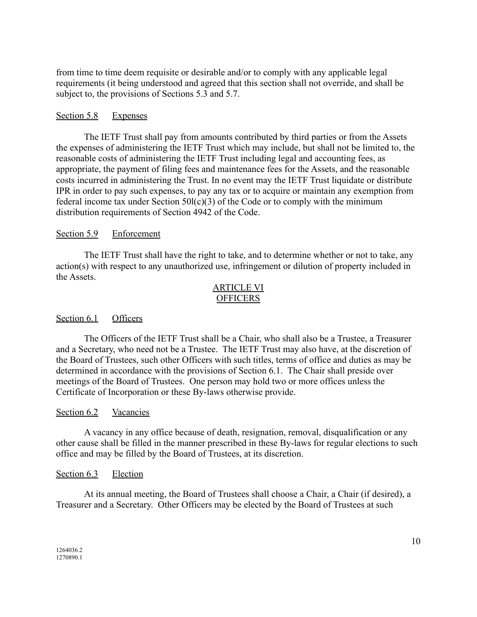from time to time deem requisite or desirable and/or to comply with any applicable legal requirements (it being understood and agreed that this section shall not override, and shall be subject to, the provisions of Sections 5.3 and 5.7.

# Section 5.8 Expenses

The IETF Trust shall pay from amounts contributed by third parties or from the Assets the expenses of administering the IETF Trust which may include, but shall not be limited to, the reasonable costs of administering the IETF Trust including legal and accounting fees, as appropriate, the payment of filing fees and maintenance fees for the Assets, and the reasonable costs incurred in administering the Trust. In no event may the IETF Trust liquidate or distribute IPR in order to pay such expenses, to pay any tax or to acquire or maintain any exemption from federal income tax under Section  $50I(c)(3)$  of the Code or to comply with the minimum distribution requirements of Section 4942 of the Code.

# Section 5.9 Enforcement

The IETF Trust shall have the right to take, and to determine whether or not to take, any action(s) with respect to any unauthorized use, infringement or dilution of property included in the Assets.

# ARTICLE VI OFFICERS

# Section 6.1 Officers

The Officers of the IETF Trust shall be a Chair, who shall also be a Trustee, a Treasurer and a Secretary, who need not be a Trustee. The IETF Trust may also have, at the discretion of the Board of Trustees, such other Officers with such titles, terms of office and duties as may be determined in accordance with the provisions of Section 6.1. The Chair shall preside over meetings of the Board of Trustees. One person may hold two or more offices unless the Certificate of Incorporation or these By-laws otherwise provide.

# Section 6.2 Vacancies

A vacancy in any office because of death, resignation, removal, disqualification or any other cause shall be filled in the manner prescribed in these By-laws for regular elections to such office and may be filled by the Board of Trustees, at its discretion.

# Section 6.3 Election

At its annual meeting, the Board of Trustees shall choose a Chair, a Chair (if desired), a Treasurer and a Secretary. Other Officers may be elected by the Board of Trustees at such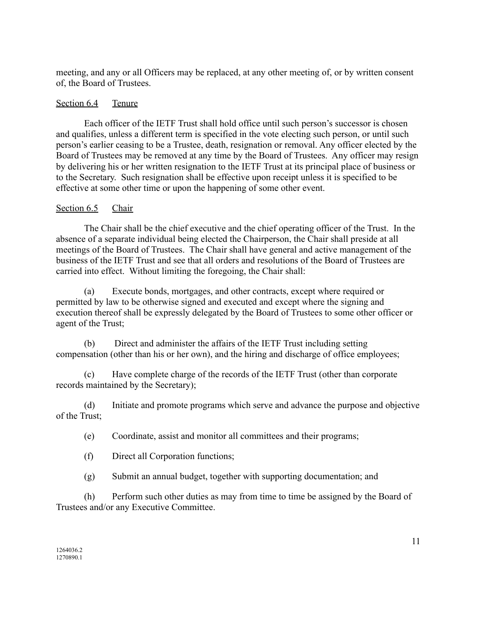meeting, and any or all Officers may be replaced, at any other meeting of, or by written consent of, the Board of Trustees.

# Section 6.4 Tenure

Each officer of the IETF Trust shall hold office until such person's successor is chosen and qualifies, unless a different term is specified in the vote electing such person, or until such person's earlier ceasing to be a Trustee, death, resignation or removal. Any officer elected by the Board of Trustees may be removed at any time by the Board of Trustees. Any officer may resign by delivering his or her written resignation to the IETF Trust at its principal place of business or to the Secretary. Such resignation shall be effective upon receipt unless it is specified to be effective at some other time or upon the happening of some other event.

# Section 6.5 Chair

The Chair shall be the chief executive and the chief operating officer of the Trust. In the absence of a separate individual being elected the Chairperson, the Chair shall preside at all meetings of the Board of Trustees. The Chair shall have general and active management of the business of the IETF Trust and see that all orders and resolutions of the Board of Trustees are carried into effect. Without limiting the foregoing, the Chair shall:

(a) Execute bonds, mortgages, and other contracts, except where required or permitted by law to be otherwise signed and executed and except where the signing and execution thereof shall be expressly delegated by the Board of Trustees to some other officer or agent of the Trust;

(b) Direct and administer the affairs of the IETF Trust including setting compensation (other than his or her own), and the hiring and discharge of office employees;

(c) Have complete charge of the records of the IETF Trust (other than corporate records maintained by the Secretary);

(d) Initiate and promote programs which serve and advance the purpose and objective of the Trust;

(e) Coordinate, assist and monitor all committees and their programs;

(f) Direct all Corporation functions;

(g) Submit an annual budget, together with supporting documentation; and

(h) Perform such other duties as may from time to time be assigned by the Board of Trustees and/or any Executive Committee.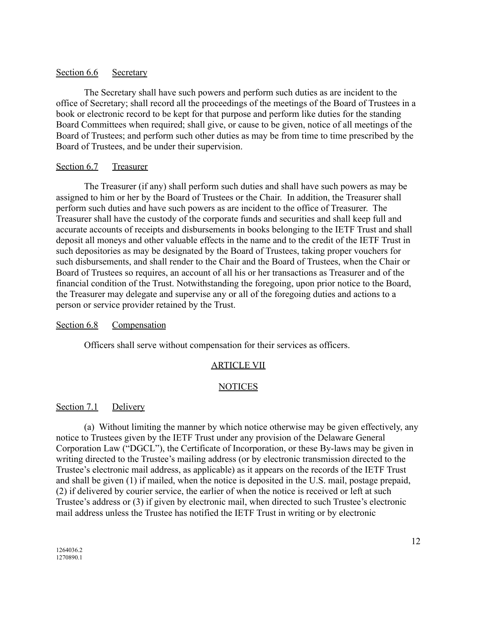### Section 6.6 Secretary

The Secretary shall have such powers and perform such duties as are incident to the office of Secretary; shall record all the proceedings of the meetings of the Board of Trustees in a book or electronic record to be kept for that purpose and perform like duties for the standing Board Committees when required; shall give, or cause to be given, notice of all meetings of the Board of Trustees; and perform such other duties as may be from time to time prescribed by the Board of Trustees, and be under their supervision.

### Section 6.7 Treasurer

The Treasurer (if any) shall perform such duties and shall have such powers as may be assigned to him or her by the Board of Trustees or the Chair. In addition, the Treasurer shall perform such duties and have such powers as are incident to the office of Treasurer. The Treasurer shall have the custody of the corporate funds and securities and shall keep full and accurate accounts of receipts and disbursements in books belonging to the IETF Trust and shall deposit all moneys and other valuable effects in the name and to the credit of the IETF Trust in such depositories as may be designated by the Board of Trustees, taking proper vouchers for such disbursements, and shall render to the Chair and the Board of Trustees, when the Chair or Board of Trustees so requires, an account of all his or her transactions as Treasurer and of the financial condition of the Trust. Notwithstanding the foregoing, upon prior notice to the Board, the Treasurer may delegate and supervise any or all of the foregoing duties and actions to a person or service provider retained by the Trust.

# Section 6.8 Compensation

Officers shall serve without compensation for their services as officers.

# ARTICLE VII

# NOTICES

#### Section 7.1 Delivery

(a) Without limiting the manner by which notice otherwise may be given effectively, any notice to Trustees given by the IETF Trust under any provision of the Delaware General Corporation Law ("DGCL"), the Certificate of Incorporation, or these By-laws may be given in writing directed to the Trustee's mailing address (or by electronic transmission directed to the Trustee's electronic mail address, as applicable) as it appears on the records of the IETF Trust and shall be given (1) if mailed, when the notice is deposited in the U.S. mail, postage prepaid, (2) if delivered by courier service, the earlier of when the notice is received or left at such Trustee's address or (3) if given by electronic mail, when directed to such Trustee's electronic mail address unless the Trustee has notified the IETF Trust in writing or by electronic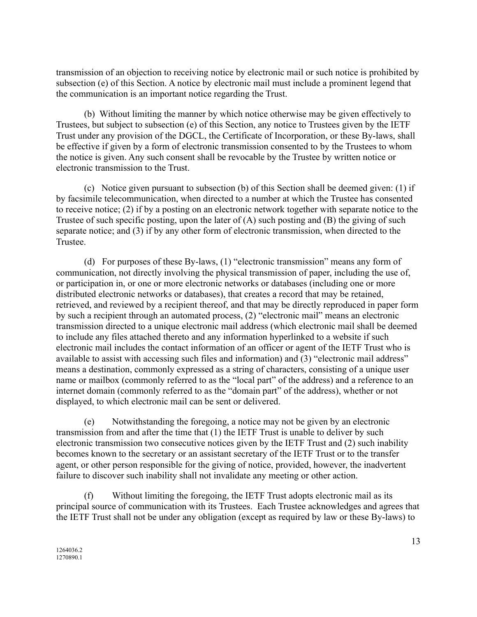transmission of an objection to receiving notice by electronic mail or such notice is prohibited by subsection (e) of this Section. A notice by electronic mail must include a prominent legend that the communication is an important notice regarding the Trust.

(b) Without limiting the manner by which notice otherwise may be given effectively to Trustees, but subject to subsection (e) of this Section, any notice to Trustees given by the IETF Trust under any provision of the DGCL, the Certificate of Incorporation, or these By-laws, shall be effective if given by a form of electronic transmission consented to by the Trustees to whom the notice is given. Any such consent shall be revocable by the Trustee by written notice or electronic transmission to the Trust.

(c) Notice given pursuant to subsection (b) of this Section shall be deemed given: (1) if by facsimile telecommunication, when directed to a number at which the Trustee has consented to receive notice; (2) if by a posting on an electronic network together with separate notice to the Trustee of such specific posting, upon the later of (A) such posting and (B) the giving of such separate notice; and (3) if by any other form of electronic transmission, when directed to the Trustee.

(d) For purposes of these By-laws, (1) "electronic transmission" means any form of communication, not directly involving the physical transmission of paper, including the use of, or participation in, or one or more electronic networks or databases (including one or more distributed electronic networks or databases), that creates a record that may be retained, retrieved, and reviewed by a recipient thereof, and that may be directly reproduced in paper form by such a recipient through an automated process, (2) "electronic mail" means an electronic transmission directed to a unique electronic mail address (which electronic mail shall be deemed to include any files attached thereto and any information hyperlinked to a website if such electronic mail includes the contact information of an officer or agent of the IETF Trust who is available to assist with accessing such files and information) and (3) "electronic mail address" means a destination, commonly expressed as a string of characters, consisting of a unique user name or mailbox (commonly referred to as the "local part" of the address) and a reference to an internet domain (commonly referred to as the "domain part" of the address), whether or not displayed, to which electronic mail can be sent or delivered.

(e) Notwithstanding the foregoing, a notice may not be given by an electronic transmission from and after the time that (1) the IETF Trust is unable to deliver by such electronic transmission two consecutive notices given by the IETF Trust and (2) such inability becomes known to the secretary or an assistant secretary of the IETF Trust or to the transfer agent, or other person responsible for the giving of notice, provided, however, the inadvertent failure to discover such inability shall not invalidate any meeting or other action.

(f) Without limiting the foregoing, the IETF Trust adopts electronic mail as its principal source of communication with its Trustees. Each Trustee acknowledges and agrees that the IETF Trust shall not be under any obligation (except as required by law or these By-laws) to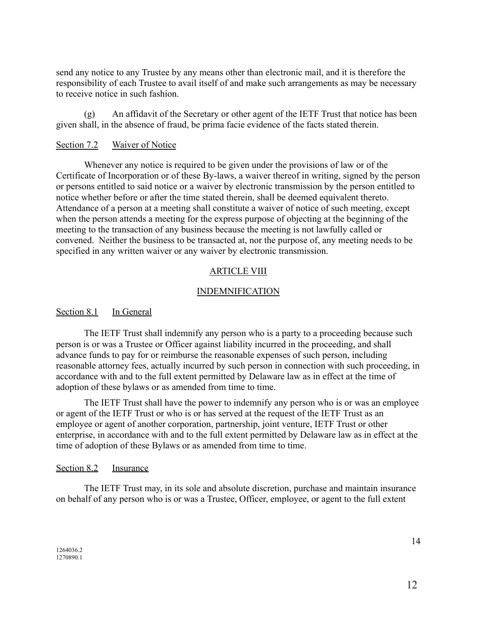send any notice to any Trustee by any means other than electronic mail, and it is therefore the responsibility of each Trustee to avail itself of and make such arrangements as may be necessary to receive notice in such fashion.

(g) An affidavit of the Secretary or other agent of the IETF Trust that notice has been given shall, in the absence of fraud, be prima facie evidence of the facts stated therein.

### Section 7.2 Waiver of Notice

Whenever any notice is required to be given under the provisions of law or of the Certificate of Incorporation or of these By-laws, a waiver thereof in writing, signed by the person or persons entitled to said notice or a waiver by electronic transmission by the person entitled to notice whether before or after the time stated therein, shall be deemed equivalent thereto. Attendance of a person at a meeting shall constitute a waiver of notice of such meeting, except when the person attends a meeting for the express purpose of objecting at the beginning of the meeting to the transaction of any business because the meeting is not lawfully called or convened. Neither the business to be transacted at, nor the purpose of, any meeting needs to be specified in any written waiver or any waiver by electronic transmission.

### ARTICLE VIII

### **INDEMNIFICATION**

#### Section 8.1 In General

The IETF Trust shall indemnify any person who is a party to a proceeding because such person is or was a Trustee or Officer against liability incurred in the proceeding, and shall advance funds to pay for or reimburse the reasonable expenses of such person, including reasonable attorney fees, actually incurred by such person in connection with such proceeding, in accordance with and to the full extent permitted by Delaware law as in effect at the time of adoption of these bylaws or as amended from time to time.

The IETF Trust shall have the power to indemnify any person who is or was an employee or agent of the IETF Trust or who is or has served at the request of the IETF Trust as an employee or agent of another corporation, partnership, joint venture, IETF Trust or other enterprise, in accordance with and to the full extent permitted by Delaware law as in effect at the time of adoption of these Bylaws or as amended from time to time.

#### Section 8.2 Insurance

The IETF Trust may, in its sole and absolute discretion, purchase and maintain insurance on behalf of any person who is or was a Trustee, Officer, employee, or agent to the full extent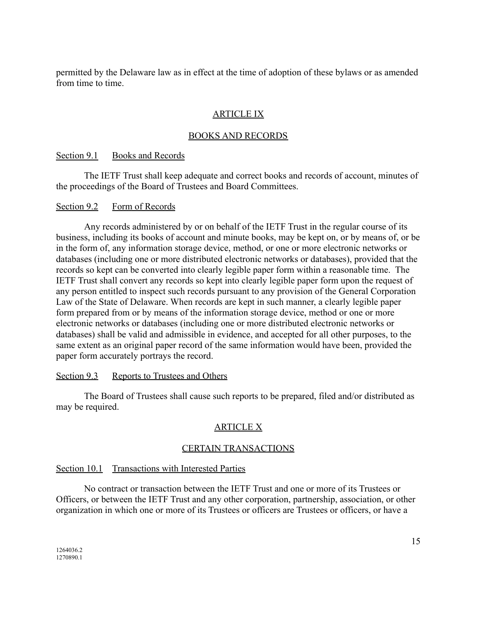permitted by the Delaware law as in effect at the time of adoption of these bylaws or as amended from time to time.

# ARTICLE IX

# BOOKS AND RECORDS

### Section 9.1 Books and Records

The IETF Trust shall keep adequate and correct books and records of account, minutes of the proceedings of the Board of Trustees and Board Committees.

### Section 9.2 Form of Records

Any records administered by or on behalf of the IETF Trust in the regular course of its business, including its books of account and minute books, may be kept on, or by means of, or be in the form of, any information storage device, method, or one or more electronic networks or databases (including one or more distributed electronic networks or databases), provided that the records so kept can be converted into clearly legible paper form within a reasonable time. The IETF Trust shall convert any records so kept into clearly legible paper form upon the request of any person entitled to inspect such records pursuant to any provision of the General Corporation Law of the State of Delaware. When records are kept in such manner, a clearly legible paper form prepared from or by means of the information storage device, method or one or more electronic networks or databases (including one or more distributed electronic networks or databases) shall be valid and admissible in evidence, and accepted for all other purposes, to the same extent as an original paper record of the same information would have been, provided the paper form accurately portrays the record.

# Section 9.3 Reports to Trustees and Others

The Board of Trustees shall cause such reports to be prepared, filed and/or distributed as may be required.

# ARTICLE X

# CERTAIN TRANSACTIONS

# Section 10.1 Transactions with Interested Parties

No contract or transaction between the IETF Trust and one or more of its Trustees or Officers, or between the IETF Trust and any other corporation, partnership, association, or other organization in which one or more of its Trustees or officers are Trustees or officers, or have a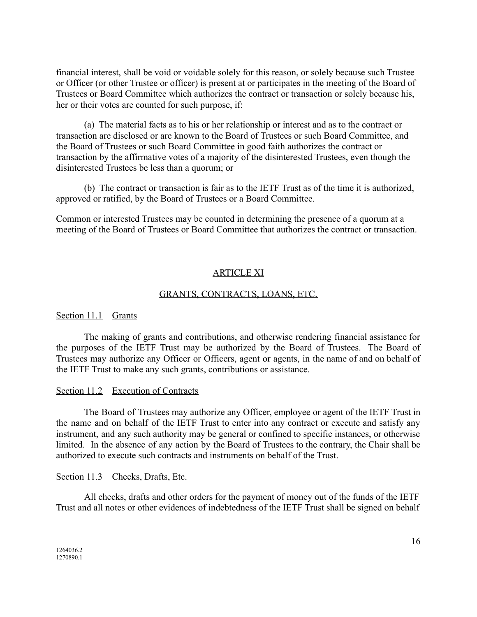financial interest, shall be void or voidable solely for this reason, or solely because such Trustee or Officer (or other Trustee or officer) is present at or participates in the meeting of the Board of Trustees or Board Committee which authorizes the contract or transaction or solely because his, her or their votes are counted for such purpose, if:

(a) The material facts as to his or her relationship or interest and as to the contract or transaction are disclosed or are known to the Board of Trustees or such Board Committee, and the Board of Trustees or such Board Committee in good faith authorizes the contract or transaction by the affirmative votes of a majority of the disinterested Trustees, even though the disinterested Trustees be less than a quorum; or

(b) The contract or transaction is fair as to the IETF Trust as of the time it is authorized, approved or ratified, by the Board of Trustees or a Board Committee.

Common or interested Trustees may be counted in determining the presence of a quorum at a meeting of the Board of Trustees or Board Committee that authorizes the contract or transaction.

# ARTICLE XI

#### GRANTS, CONTRACTS, LOANS, ETC.

#### Section 11.1 Grants

The making of grants and contributions, and otherwise rendering financial assistance for the purposes of the IETF Trust may be authorized by the Board of Trustees. The Board of Trustees may authorize any Officer or Officers, agent or agents, in the name of and on behalf of the IETF Trust to make any such grants, contributions or assistance.

#### Section 11.2 Execution of Contracts

The Board of Trustees may authorize any Officer, employee or agent of the IETF Trust in the name and on behalf of the IETF Trust to enter into any contract or execute and satisfy any instrument, and any such authority may be general or confined to specific instances, or otherwise limited. In the absence of any action by the Board of Trustees to the contrary, the Chair shall be authorized to execute such contracts and instruments on behalf of the Trust.

#### Section 11.3 Checks, Drafts, Etc.

All checks, drafts and other orders for the payment of money out of the funds of the IETF Trust and all notes or other evidences of indebtedness of the IETF Trust shall be signed on behalf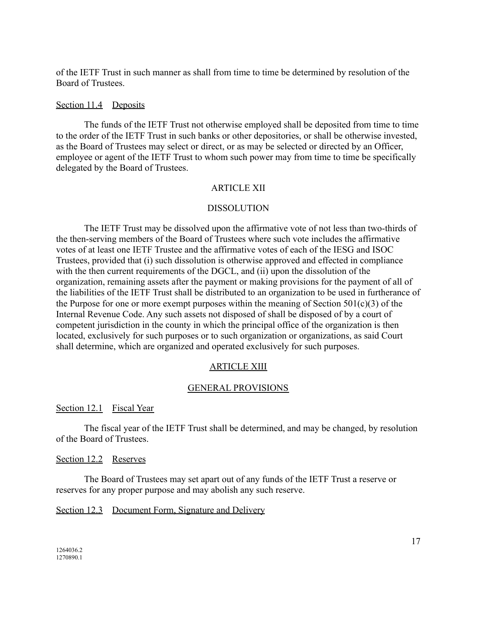of the IETF Trust in such manner as shall from time to time be determined by resolution of the Board of Trustees.

#### Section 11.4 Deposits

The funds of the IETF Trust not otherwise employed shall be deposited from time to time to the order of the IETF Trust in such banks or other depositories, or shall be otherwise invested, as the Board of Trustees may select or direct, or as may be selected or directed by an Officer, employee or agent of the IETF Trust to whom such power may from time to time be specifically delegated by the Board of Trustees.

#### ARTICLE XII

#### DISSOLUTION

The IETF Trust may be dissolved upon the affirmative vote of not less than two-thirds of the then-serving members of the Board of Trustees where such vote includes the affirmative votes of at least one IETF Trustee and the affirmative votes of each of the IESG and ISOC Trustees, provided that (i) such dissolution is otherwise approved and effected in compliance with the then current requirements of the DGCL, and (ii) upon the dissolution of the organization, remaining assets after the payment or making provisions for the payment of all of the liabilities of the IETF Trust shall be distributed to an organization to be used in furtherance of the Purpose for one or more exempt purposes within the meaning of Section  $501(c)(3)$  of the Internal Revenue Code. Any such assets not disposed of shall be disposed of by a court of competent jurisdiction in the county in which the principal office of the organization is then located, exclusively for such purposes or to such organization or organizations, as said Court shall determine, which are organized and operated exclusively for such purposes.

#### ARTICLE XIII

### GENERAL PROVISIONS

#### Section 12.1 Fiscal Year

The fiscal year of the IETF Trust shall be determined, and may be changed, by resolution of the Board of Trustees.

#### Section 12.2 Reserves

The Board of Trustees may set apart out of any funds of the IETF Trust a reserve or reserves for any proper purpose and may abolish any such reserve.

# Section 12.3 Document Form, Signature and Delivery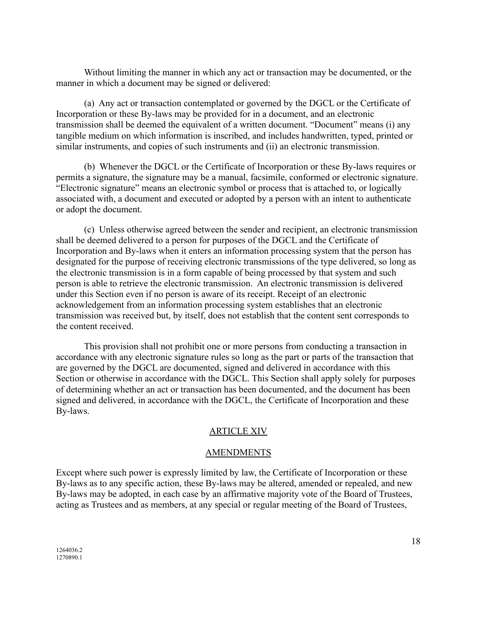Without limiting the manner in which any act or transaction may be documented, or the manner in which a document may be signed or delivered:

(a) Any act or transaction contemplated or governed by the DGCL or the Certificate of Incorporation or these By-laws may be provided for in a document, and an electronic transmission shall be deemed the equivalent of a written document. "Document" means (i) any tangible medium on which information is inscribed, and includes handwritten, typed, printed or similar instruments, and copies of such instruments and (ii) an electronic transmission.

(b) Whenever the DGCL or the Certificate of Incorporation or these By-laws requires or permits a signature, the signature may be a manual, facsimile, conformed or electronic signature. "Electronic signature" means an electronic symbol or process that is attached to, or logically associated with, a document and executed or adopted by a person with an intent to authenticate or adopt the document.

(c) Unless otherwise agreed between the sender and recipient, an electronic transmission shall be deemed delivered to a person for purposes of the DGCL and the Certificate of Incorporation and By-laws when it enters an information processing system that the person has designated for the purpose of receiving electronic transmissions of the type delivered, so long as the electronic transmission is in a form capable of being processed by that system and such person is able to retrieve the electronic transmission. An electronic transmission is delivered under this Section even if no person is aware of its receipt. Receipt of an electronic acknowledgement from an information processing system establishes that an electronic transmission was received but, by itself, does not establish that the content sent corresponds to the content received.

This provision shall not prohibit one or more persons from conducting a transaction in accordance with any electronic signature rules so long as the part or parts of the transaction that are governed by the DGCL are documented, signed and delivered in accordance with this Section or otherwise in accordance with the DGCL. This Section shall apply solely for purposes of determining whether an act or transaction has been documented, and the document has been signed and delivered, in accordance with the DGCL, the Certificate of Incorporation and these By-laws.

# ARTICLE XIV

# AMENDMENTS

Except where such power is expressly limited by law, the Certificate of Incorporation or these By-laws as to any specific action, these By-laws may be altered, amended or repealed, and new By-laws may be adopted, in each case by an affirmative majority vote of the Board of Trustees, acting as Trustees and as members, at any special or regular meeting of the Board of Trustees,